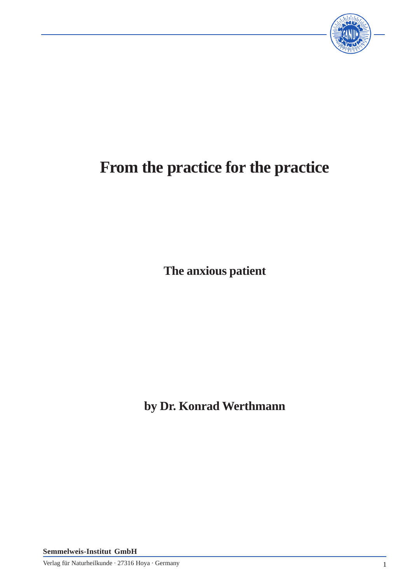

# **From the practice for the practice**

**The anxious patient**

**by Dr. Konrad Werthmann**

**Semmelweis-Institut GmbH**